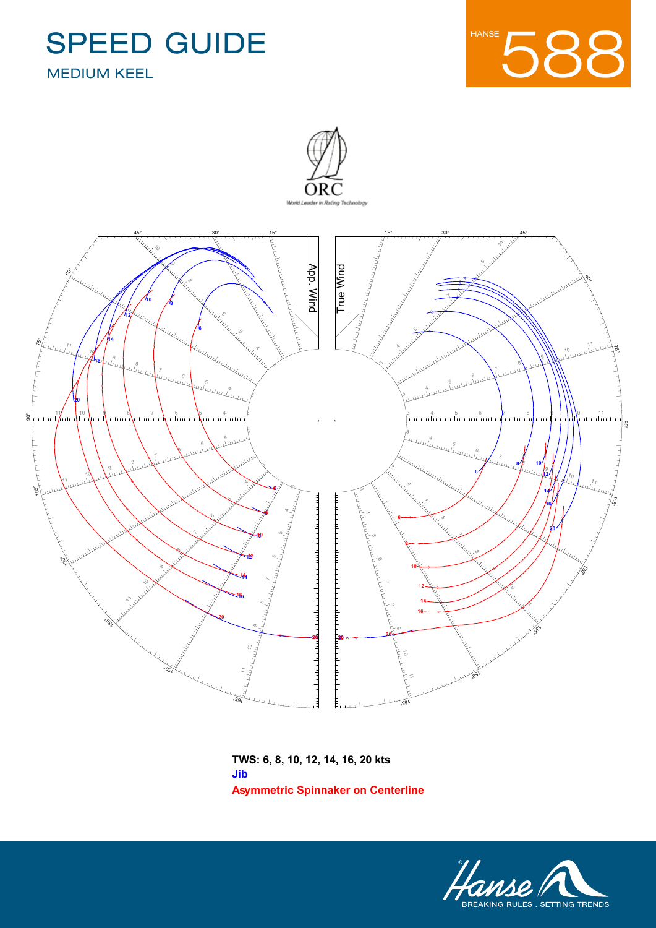





**Asymmetric Spinnaker on Centerline TWS: 6, 8, 10, 12, 14, 16, 20 kts Jib**

Designer **Judel/Vrolijk**

Issued On **27/06/2016 - VPP 2016 1.01**

Name **Hanse 588**

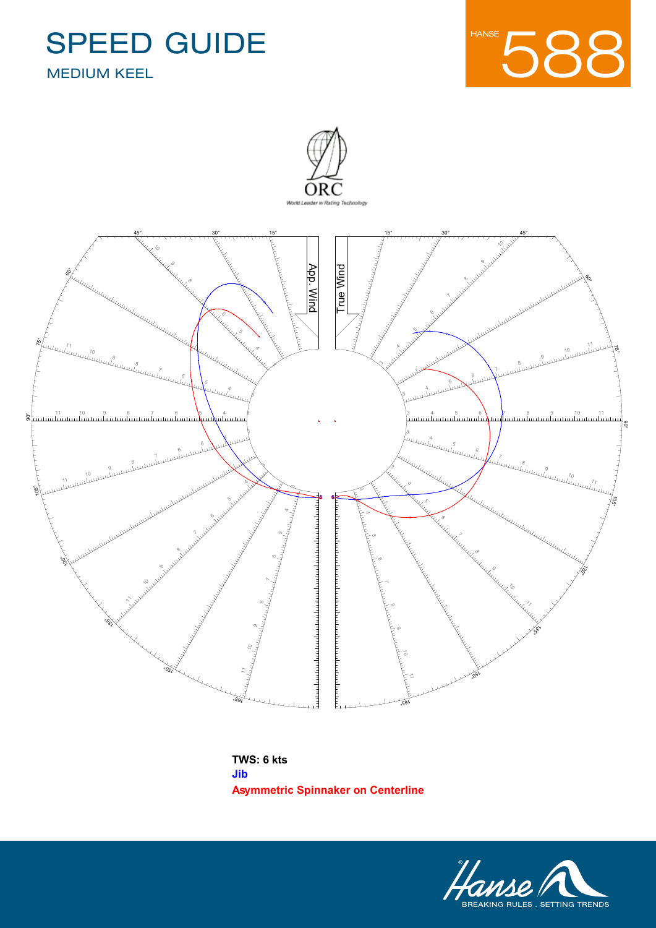Designer **Judel/Vrolijk**

Issued On **27/06/2016 - VPP 2016 1.01**

Name **Hanse 588**









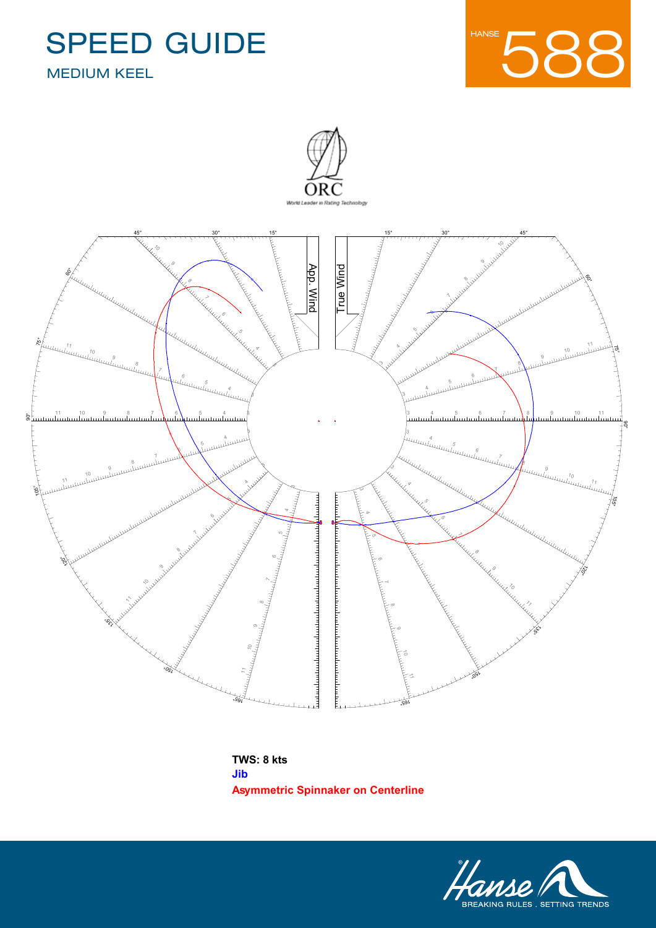Designer **Judel/Vrolijk**

Issued On **27/06/2016 - VPP 2016 1.01**

Name **Hanse 588**









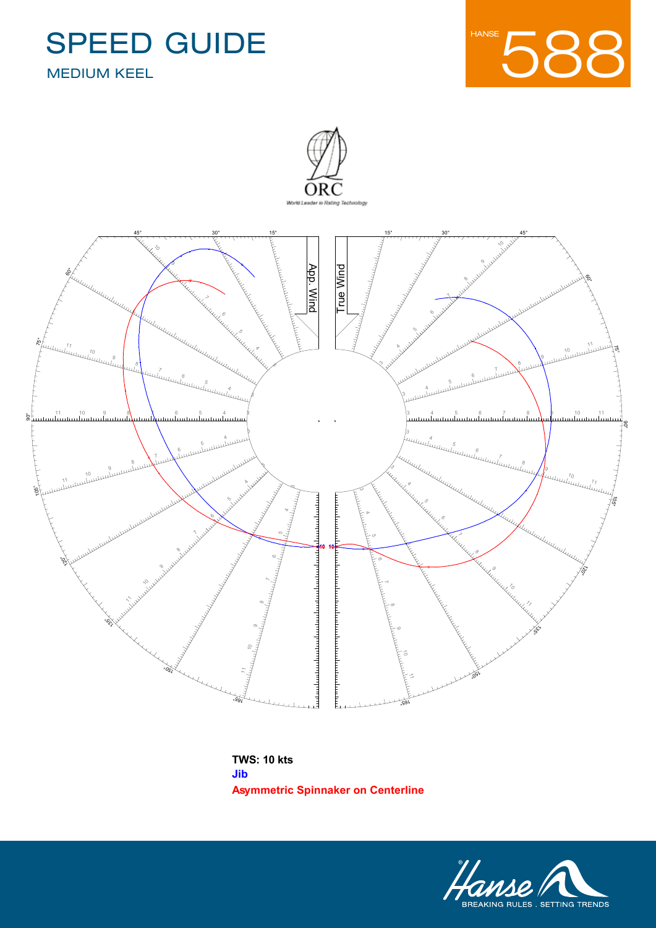Designer **Judel/Vrolijk**

Issued On **27/06/2016 - VPP 2016 1.01**

Name **Hanse 588**







**Asymmetric Spinnaker on Centerline TWS: 10 kts Jib**

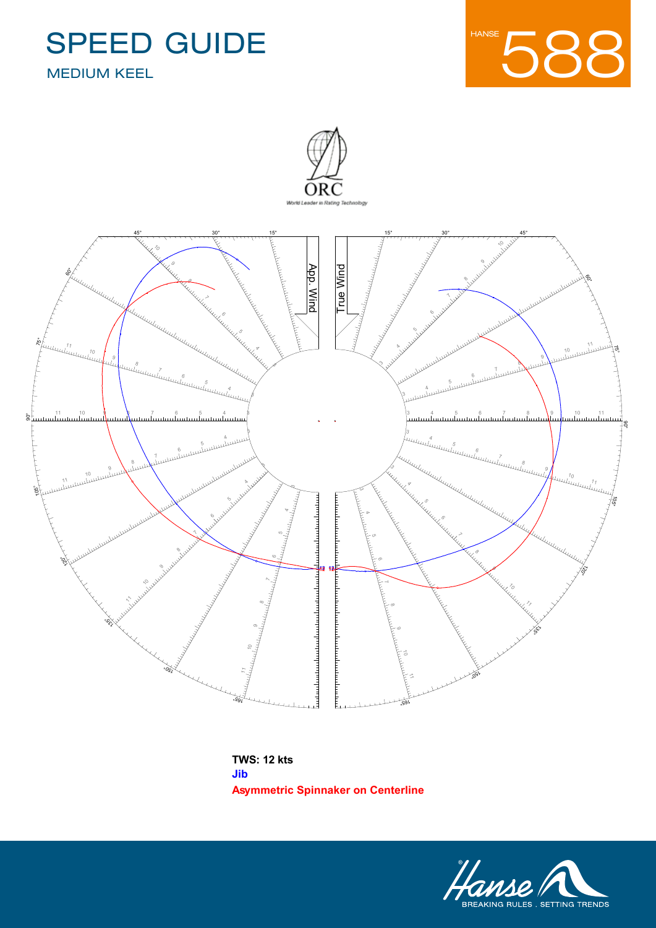Designer **Judel/Vrolijk**

Issued On **27/06/2016 - VPP 2016 1.01**

Name **Hanse 588**







**Asymmetric Spinnaker on Centerline TWS: 12 kts Jib**

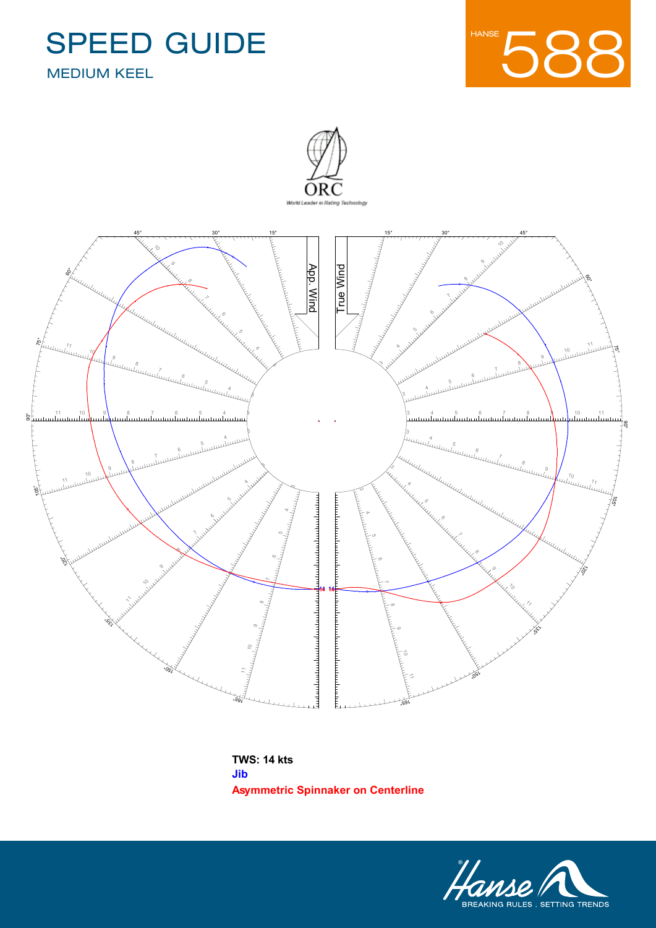Designer **Judel/Vrolijk**

Issued On **27/06/2016 - VPP 2016 1.01**

Name **Hanse 588**







**Asymmetric Spinnaker on Centerline TWS: 14 kts Jib**

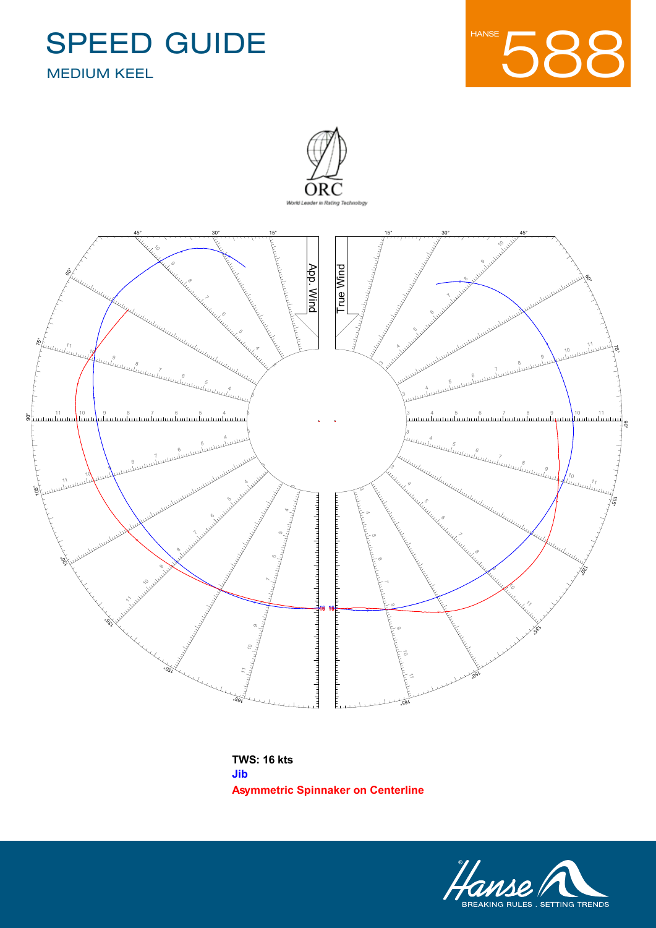Designer **Judel/Vrolijk**

Issued On **27/06/2016 - VPP 2016 1.01**

Name **Hanse 588**







**Asymmetric Spinnaker on Centerline TWS: 16 kts Jib**

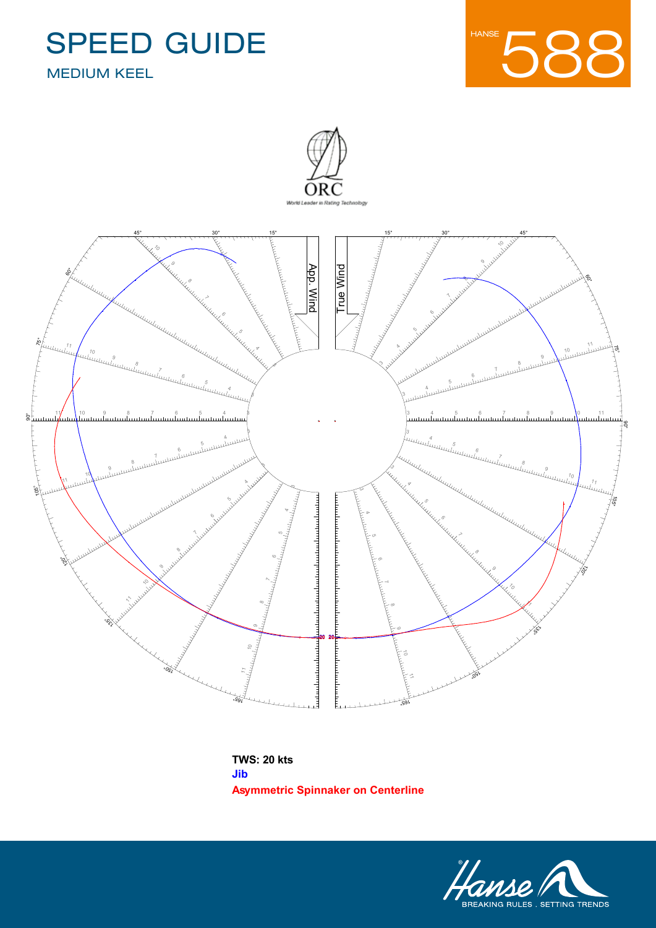Designer **Judel/Vrolijk**

Issued On **27/06/2016 - VPP 2016 1.01**

Name **Hanse 588**







**Asymmetric Spinnaker on Centerline TWS: 20 kts Jib**

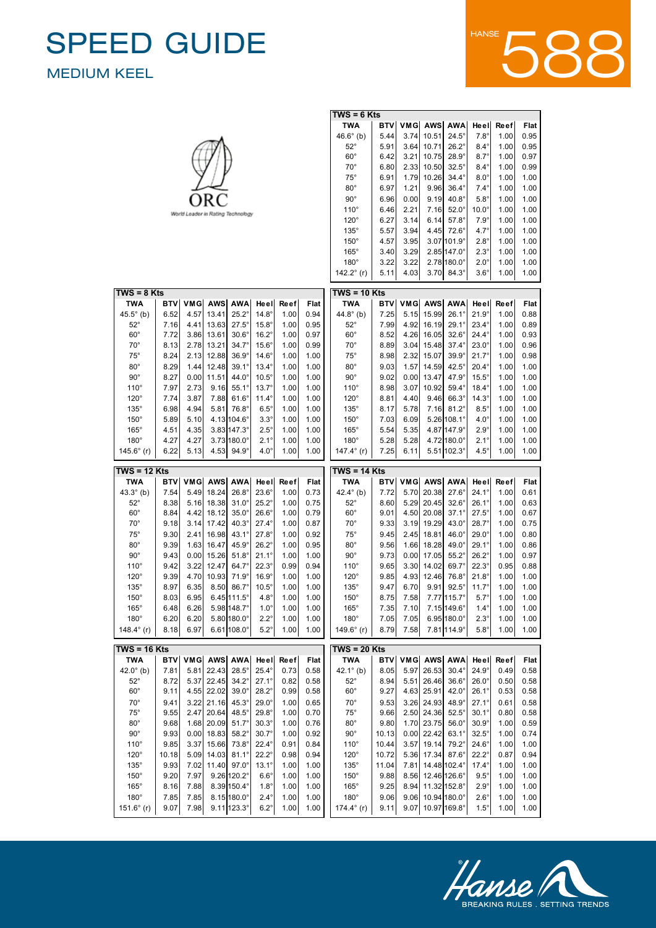52°

8.65

5.32

22.39

34.3°

26.0°

 $\overline{\phantom{0}}$ 

0.58

52°

8.87

5.46

26.41



|                      |            |      |                        |                                   |                |      |      | $TWS = 6$ Kts        |            |      |              |                      |                |             |      |
|----------------------|------------|------|------------------------|-----------------------------------|----------------|------|------|----------------------|------------|------|--------------|----------------------|----------------|-------------|------|
|                      |            |      |                        |                                   |                |      |      | TWA                  | <b>BTV</b> | VMG  | AWS          | <b>AWA</b>           | Heel           | Reef        | Flat |
|                      |            |      |                        |                                   |                |      |      | $46.6^{\circ}$ (b)   | 5.44       | 3.74 | 10.51        | $24.5^\circ$         | $7.8^\circ$    | 1.00        | 0.95 |
|                      |            |      |                        |                                   |                |      |      | $52^{\circ}$         | 5.91       | 3.64 | 10.71        | $26.2^\circ$         | $8.4^\circ$    | 1.00        | 0.95 |
|                      |            |      |                        |                                   |                |      |      | $60^{\circ}$         | 6.42       | 3.21 | 10.75        | $28.9^\circ$         | $8.7^\circ$    | 1.00        | 0.97 |
|                      |            |      |                        |                                   |                |      |      | $70^{\circ}$         | 6.80       | 2.33 | 10.50        | $32.5^\circ$         | $8.4^\circ$    | 1.00        | 0.99 |
|                      |            |      |                        |                                   |                |      |      | $75^\circ$           | 6.91       | 1.79 | 10.26        | $34.4^\circ$         | $8.0^\circ$    | 1.00        | 1.00 |
|                      |            |      |                        |                                   |                |      |      | $80^\circ$           | 6.97       | 1.21 | 9.96         | $36.4^\circ$         | $7.4^\circ$    | 1.00        | 1.00 |
|                      |            |      |                        |                                   |                |      |      | $90^{\circ}$         | 6.96       | 0.00 | 9.19         | $40.8^\circ$         | $5.8^\circ$    | 1.00        | 1.00 |
|                      |            |      |                        |                                   |                |      |      | $110^\circ$          | 6.46       | 2.21 | 7.16         | $52.0^\circ$         | $10.0^\circ$   | 1.00        | 1.00 |
|                      |            |      |                        | World Leader in Rating Technology |                |      |      | $120^\circ$          | 6.27       | 3.14 | 6.14         | $57.8^\circ$         | $7.9^\circ$    | 1.00        | 1.00 |
|                      |            |      |                        |                                   |                |      |      |                      |            |      | 4.45         |                      | $4.7^\circ$    |             |      |
|                      |            |      |                        |                                   |                |      |      | $135^\circ$          | 5.57       | 3.94 |              | $72.6^\circ$         |                | 1.00        | 1.00 |
|                      |            |      |                        |                                   |                |      |      | $150^\circ$          | 4.57       | 3.95 |              | 3.07 101.9°          | $2.8^\circ$    | 1.00        | 1.00 |
|                      |            |      |                        |                                   |                |      |      | $165^\circ$          | 3.40       | 3.29 |              | $2.85 147.0^{\circ}$ | $2.3^\circ$    | 1.00        | 1.00 |
|                      |            |      |                        |                                   |                |      |      | $180^\circ$          | 3.22       | 3.22 |              | $2.78 180.0^{\circ}$ | $2.0^\circ$    | 1.00        | 1.00 |
|                      |            |      |                        |                                   |                |      |      | 142.2 $\degree$ (r)  | 5.11       | 4.03 | 3.70         | $84.3^\circ$         | $3.6^\circ$    | 1.00        | 1.00 |
| $TWS = 8$ Kts        |            |      |                        |                                   |                |      |      | $TWS = 10$ Kts       |            |      |              |                      |                |             |      |
| <b>TWA</b>           | <b>BTV</b> |      | VMG AWS                | <b>AWA</b>                        | Heel           | Reef | Flat | TWA                  | <b>BTV</b> |      |              | VMG AWS AWA          | Heel           | Reef        | Flat |
|                      |            |      |                        |                                   |                |      |      |                      |            |      |              |                      |                |             |      |
| $45.5^{\circ}$ (b)   | 6.52       | 4.57 | 13.41                  | $25.2^\circ$                      | $14.8^\circ$   | 1.00 | 0.94 | 44.8 $^{\circ}$ (b)  | 7.25       | 5.15 | 15.99        | $26.1^\circ$         | $21.9^\circ$   | 1.00        | 0.88 |
| $52^\circ$           | 7.16       | 4.41 | 13.63                  | $27.5^\circ$                      | $15.8^\circ$   | 1.00 | 0.95 | $52^{\circ}$         | 7.99       | 4.92 | 16.19        | $29.1^\circ$         | $23.4^\circ$   | 1.00        | 0.89 |
| $60^{\circ}$         | 7.72       | 3.86 | 13.61                  | $30.6^\circ$                      | $16.2^\circ$   | 1.00 | 0.97 | $60^{\circ}$         | 8.52       |      | 4.26 16.05   | $32.6^\circ$         | $24.4^\circ$   | 1.00        | 0.93 |
| $70^{\circ}$         | 8.13       | 2.78 | 13.21                  | $34.7^\circ$                      | $15.6^\circ$   | 1.00 | 0.99 | $70^{\circ}$         | 8.89       |      | $3.04$ 15.48 | $37.4^\circ$         | $23.0^\circ$   | 1.00        | 0.96 |
| $75^\circ$           | 8.24       | 2.13 | 12.88                  | $36.9^\circ$                      | $14.6^\circ$   | 1.00 | 1.00 | $75^\circ$           | 8.98       | 2.32 | 15.07        | $39.9^\circ$         | $21.7^{\circ}$ | 1.00        | 0.98 |
| $80^{\circ}$         | 8.29       | 1.44 | 12.48                  | $39.1^\circ$                      | $13.4^\circ$   | 1.00 | 1.00 | $80^\circ$           | 9.03       | 1.57 | 14.59        | $42.5^\circ$         | $20.4^\circ$   | 1.00        | 1.00 |
| $90^{\circ}$         | 8.27       | 0.00 | 11.51                  | $44.0^\circ$                      | $10.5^\circ$   | 1.00 | 1.00 | $90^{\circ}$         | 9.02       | 0.00 | 13.47        | $47.9^\circ$         | $15.5^\circ$   | 1.00        | 1.00 |
| $110^\circ$          | 7.97       | 2.73 | 9.16                   | $55.1^{\circ}$                    | $13.7^\circ$   | 1.00 | 1.00 | $110^\circ$          | 8.98       | 3.07 | 10.92        | $59.4^\circ$         | $18.4^\circ$   | 1.00        | 1.00 |
| $120^\circ$          | 7.74       | 3.87 | 7.88                   | $61.6^\circ$                      | $11.4^\circ$   | 1.00 | 1.00 | $120^\circ$          | 8.81       | 4.40 | 9.46         | $66.3^\circ$         | $14.3^\circ$   | 1.00        | 1.00 |
| $135^\circ$          | 6.98       | 4.94 | 5.81                   | $76.8^\circ$                      | $6.5^\circ$    | 1.00 | 1.00 | $135^\circ$          | 8.17       | 5.78 | 7.16         | $81.2^\circ$         | $8.5^\circ$    | 1.00        | 1.00 |
| $150^\circ$          | 5.89       | 5.10 |                        | 4.13 104.6°                       | $3.3^\circ$    | 1.00 | 1.00 | $150^\circ$          | 7.03       | 6.09 |              | $5.26 108.1^{\circ}$ | $4.0^\circ$    | 1.00        | 1.00 |
| $165^\circ$          | 4.51       | 4.35 |                        | 3.83 147.3°                       | $2.5^\circ$    | 1.00 | 1.00 | $165^\circ$          | 5.54       | 5.35 |              | 4.87 147.9°          | $2.9^\circ$    | 1.00        | 1.00 |
| $180^\circ$          | 4.27       | 4.27 |                        | $3.73 180.0^{\circ}$              | $2.1^\circ$    | 1.00 | 1.00 | $180^\circ$          | 5.28       | 5.28 |              | 4.72 180.0°          | $2.1^\circ$    | 1.00        | 1.00 |
| 145.6 $\degree$ (r)  |            |      |                        |                                   |                |      |      |                      |            |      |              |                      |                |             |      |
|                      |            |      |                        |                                   |                |      |      |                      |            |      |              |                      |                |             |      |
|                      | 6.22       | 5.13 | 4.53                   | $94.9^\circ$                      | $4.0^\circ$    | 1.00 | 1.00 | 147.4 $\degree$ (r)  | 7.25       | 6.11 |              | 5.51 102.3°          | $4.5^\circ$    | 1.00        | 1.00 |
| $TWS = 12$ Kts       |            |      |                        |                                   |                |      |      | TWS = 14 Kts         |            |      |              |                      |                |             |      |
| <b>TWA</b>           | <b>BTV</b> |      | VMG AWS                | <b>AWA</b>                        | Heel           | Reef | Flat | <b>TWA</b>           | <b>BTV</b> | VMG  | AWS          | <b>AWA</b>           | Heel           | Reef        | Flat |
| 43.3 $^{\circ}$ (b)  | 7.54       |      | 5.49 18.24             | $26.8^\circ$                      | $23.6^\circ$   | 1.00 | 0.73 | 42.4 $^{\circ}$ (b)  | 7.72       |      | 5.70 20.38   | $27.6^\circ$         | $24.1^{\circ}$ | 1.00        | 0.61 |
| $52^{\circ}$         | 8.38       | 5.16 | 18.38                  | $31.0^\circ$                      | $25.2^\circ$   | 1.00 | 0.75 | $52^{\circ}$         | 8.60       | 5.29 | 20.45        | $32.6^\circ$         | $26.1^{\circ}$ | 1.00        | 0.63 |
| $60^{\circ}$         | 8.84       |      | 4.42 18.12             | $35.0^\circ$                      | $26.6^\circ$   | 1.00 | 0.79 | $60^{\circ}$         | 9.01       |      | 4.50 20.08   | $37.1^{\circ}$       | $27.5^\circ$   | 1.00        | 0.67 |
| $70^{\circ}$         | 9.18       |      | $3.14$ 17.42           | $40.3^\circ$                      | $27.4^\circ$   | 1.00 | 0.87 | $70^{\circ}$         | 9.33       |      | 3.19 19.29   | $43.0^\circ$         | $28.7^\circ$   | 1.00        | 0.75 |
| $75^\circ$           | 9.30       | 2.41 | 16.98                  | $43.1^\circ$                      | $27.8^\circ$   | 1.00 | 0.92 | $75^\circ$           | 9.45       | 2.45 | 18.81        | $46.0^\circ$         | $29.0^\circ$   | 1.00        | 0.80 |
| $80^{\circ}$         | 9.39       |      | 1.63 16.47             | 45.9°                             | $26.2^\circ$   | 1.00 | 0.95 | $80^\circ$           | 9.56       | 1.66 | 18.28        | $49.0^\circ$         | $29.1^\circ$   | 1.00        | 0.86 |
| $90^{\circ}$         | 9.43       | 0.00 | 15.26                  | $51.8^\circ$                      | $21.1^{\circ}$ | 1.00 | 1.00 | $90^{\circ}$         | 9.73       | 0.00 | 17.05        | $55.2^\circ$         | $26.2^\circ$   | 1.00        | 0.97 |
| $110^\circ$          | 9.42       | 3.22 | 12.47                  | $64.7^\circ$                      | $22.3^\circ$   | 0.99 | 0.94 | $110^\circ$          | 9.65       | 3.30 | 14.02        | $69.7^\circ$         | $22.3^\circ$   | 0.95        | 0.88 |
|                      |            |      |                        |                                   |                |      |      |                      |            |      | 4.93 12.46   |                      |                |             |      |
| $120^\circ$          | 9.39       | 4.70 | 10.93                  | $71.9^\circ$                      | $16.9^\circ$   | 1.00 | 1.00 | $120^\circ$          | 9.85       |      |              | $76.8^\circ$         | $21.8^\circ$   | 1.00        | 1.00 |
| $135^\circ$          | 8.97       | 6.35 | 8.50                   | $86.7^\circ$                      | $10.5^\circ$   | 1.00 | 1.00 | $135^\circ$          | 9.47       | 6.70 | 9.91         | $92.5^\circ$         | $11.7^{\circ}$ | 1.00        | 1.00 |
| $150^\circ$          | 8.03       | 6.95 |                        | $6.45 111.5^{\circ}$              | $4.8^\circ$    | 1.00 | 1.00 | $150^\circ$          | 8.75       | 7.58 |              | 7.77 115.7°          | $5.7^\circ$    | 1.00        | 1.00 |
| $165^\circ$          | 6.48       | 6.26 |                        | 5.98 148.7°                       | $1.0^\circ$    | 1.00 | 1.00 | $165^\circ$          | 7.35       | 7.10 |              | 7.15 149.6°          | $1.4^\circ$    | 1.00        | 1.00 |
| $180^\circ$          | 6.20       | 6.20 |                        | $5.80 180.0^{\circ}$              | $2.2^\circ$    | 1.00 | 1.00 | $180^\circ$          | 7.05       | 7.05 |              | $6.95 180.0^{\circ}$ | $2.3^\circ$    | 1.00        | 1.00 |
| 148.4 $^{\circ}$ (r) | 8.18       | 6.97 |                        | $6.61 108.0^{\circ}$              | $5.2^\circ$    | 1.00 | 1.00 | 149.6 $^{\circ}$ (r) | 8.79       | 7.58 |              | 7.81 114.9°          | $5.8^\circ$    | 1.00        | 1.00 |
| TWS = 16 Kts         |            |      |                        |                                   |                |      |      | $TWS = 20$ Kts       |            |      |              |                      |                |             |      |
| <b>TWA</b>           |            |      | <b>BTV VMG AWS AWA</b> |                                   | Heel           | Reef | Flat | <b>TWA</b>           | <b>BTV</b> |      |              | VMG AWS AWA          | Heel           | <b>Reef</b> | Flat |
| 42.0 $^{\circ}$ (b)  | 7.81       |      | 5.81 22.43             | $28.5^\circ$                      | $25.4^\circ$   | 0.73 | 0.58 | 42.1 $^{\circ}$ (b)  | 8.05       |      | 5.97 26.53   | $30.4^\circ$         | $24.9^\circ$   | 0.49        | 0.58 |
| $52^\circ$           | 8.72       |      | 5.37 22.45             | $34.2^\circ$                      | $27.1^{\circ}$ | 0.82 | 0.58 | $52^{\circ}$         | 8.94       | 5.51 | 26.46        | $36.6^\circ$         | $26.0^\circ$   | 0.50        | 0.58 |
|                      |            |      | 4.55 22.02             | $39.0^\circ$                      | $28.2^\circ$   | 0.99 |      |                      | 9.27       |      |              | $42.0^\circ$         | $26.1^\circ$   | 0.53        | 0.58 |
| $60^{\circ}$         | 9.11       |      |                        |                                   |                |      | 0.58 | $60^{\circ}$         |            |      | 4.63 25.91   |                      |                |             |      |
| $70^{\circ}$         | 9.41       |      | 3.22 21.16             | $45.3^\circ$                      | $29.0^\circ$   | 1.00 | 0.65 | $70^{\circ}$         | 9.53       |      | 3.26 24.93   | $48.9^\circ$         | $27.1^\circ$   | 0.61        | 0.58 |
| $75^\circ$           | 9.55       |      | 2.47 20.64             | $48.5^\circ$                      | $29.8^\circ$   | 1.00 | 0.70 | $75^\circ$           | 9.66       |      | 2.50 24.36   | $52.5^\circ$         | $30.1^\circ$   | 0.80        | 0.58 |
| $80^{\circ}$         | 9.68       |      | 1.68 20.09             | $51.7^\circ$                      | $30.3^\circ$   | 1.00 | 0.76 | $80^{\circ}$         | 9.80       |      | 1.70 23.75   | $56.0^\circ$         | $30.9^\circ$   | 1.00        | 0.59 |
| $90^{\circ}$         | 9.93       |      | $0.00$ 18.83           | $58.2^\circ$                      | $30.7^\circ$   | 1.00 | 0.92 | $90^{\circ}$         | 10.13      |      | $0.00$ 22.42 | $63.1^\circ$         | $32.5^\circ$   | 1.00        | 0.74 |
| $110^\circ$          | 9.85       |      | 3.37 15.66             | $73.8^\circ$                      | $22.4^\circ$   | 0.91 | 0.84 | $110^\circ$          | 10.44      | 3.57 | 19.14        | $79.2^\circ$         | $24.6^\circ$   | 1.00        | 1.00 |
| $120^\circ$          | 10.18      |      | 5.09 14.03             | $81.1^\circ$                      | $22.2^\circ$   | 0.98 | 0.94 | $120^\circ$          | 10.72      |      | 5.36 17.34   | $87.6^\circ$         | $22.2^\circ$   | 0.87        | 0.94 |
| $135^\circ$          | 9.93       | 7.02 | 11.40                  | $97.0^\circ$                      | $13.1^\circ$   | 1.00 | 1.00 | $135^\circ$          | 11.04      | 7.81 |              | 14.48 102.4°         | $17.4^\circ$   | 1.00        | 1.00 |
| $150^\circ$          | 9.20       | 7.97 |                        | 9.26 120.2°                       | $6.6^\circ$    | 1.00 | 1.00 | $150^\circ$          | 9.88       |      |              | 8.56 12.46 126.6°    | $9.5^\circ$    | 1.00        | 1.00 |
| $165^\circ$          | 8.16       | 7.88 |                        | 8.39 150.4°                       | $1.8^\circ$    | 1.00 | 1.00 | $165^\circ$          | 9.25       | 8.94 |              | 11.32 152.8°         | $2.9^\circ$    | 1.00        | 1.00 |
| $180^\circ$          | 7.85       | 7.85 |                        | $8.15 180.0^{\circ}$              | $2.4^\circ$    | 1.00 | 1.00 | $180^\circ$          | 9.06       |      |              | 9.06 10.94 180.0°    | $2.6^\circ$    | 1.00        | 1.00 |



36.6°

24.9°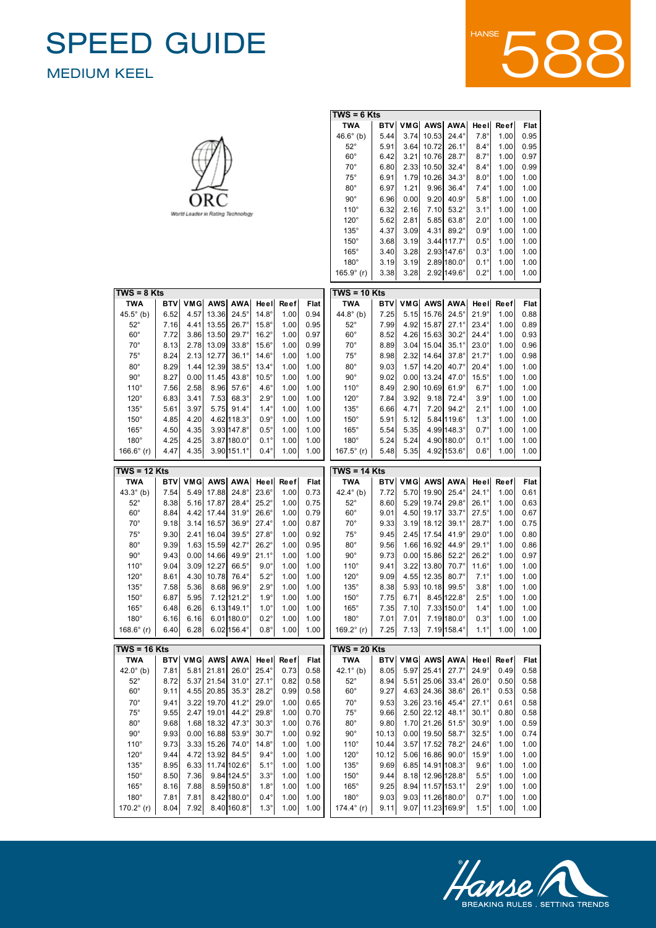52°

8.65

5.32

22.39

34.3°

26.0°

 $\overline{\phantom{0}}$ 

0.58

52°

8.87

5.46

26.41



|                                     |            |              |                        |                                     |                |      |              | $TWS = 6$ Kts        |            |      |              |                                          |                |             |      |
|-------------------------------------|------------|--------------|------------------------|-------------------------------------|----------------|------|--------------|----------------------|------------|------|--------------|------------------------------------------|----------------|-------------|------|
|                                     |            |              |                        |                                     |                |      |              | <b>TWA</b>           | <b>BTV</b> | VMG  | AWS          | <b>AWA</b>                               | Heel           | Reef        | Flat |
|                                     |            |              |                        |                                     |                |      |              | $46.6^{\circ}$ (b)   | 5.44       | 3.74 | 10.53        | $24.4^\circ$                             | $7.8^\circ$    | 1.00        | 0.95 |
|                                     |            |              |                        |                                     |                |      |              | $52^{\circ}$         | 5.91       | 3.64 | 10.72        | $26.1^\circ$                             | $8.4^\circ$    | 1.00        | 0.95 |
|                                     |            |              |                        |                                     |                |      |              | $60^\circ$           | 6.42       | 3.21 | 10.76        | $28.7^\circ$                             | $8.7^\circ$    | 1.00        | 0.97 |
|                                     |            |              |                        |                                     |                |      |              | $70^{\circ}$         | 6.80       | 2.33 | 10.50        | $32.4^\circ$                             | $8.4^\circ$    | 1.00        | 0.99 |
|                                     |            |              |                        |                                     |                |      |              | $75^{\circ}$         | 6.91       | 1.79 | 10.26        | $34.3^\circ$                             | $8.0^\circ$    | 1.00        | 1.00 |
|                                     |            |              |                        |                                     |                |      |              | $80^{\circ}$         | 6.97       | 1.21 | 9.96         | $36.4^\circ$                             | $7.4^\circ$    | 1.00        | 1.00 |
|                                     |            |              |                        |                                     |                |      |              | $90^{\circ}$         | 6.96       | 0.00 | 9.20         | $40.9^\circ$                             | $5.8^\circ$    | 1.00        | 1.00 |
|                                     |            |              |                        |                                     |                |      |              |                      |            |      |              |                                          |                |             |      |
|                                     |            |              |                        | World Leader in Rating Technology   |                |      |              | $110^\circ$          | 6.32       | 2.16 | 7.10         | $53.2^\circ$                             | $3.1^\circ$    | 1.00        | 1.00 |
|                                     |            |              |                        |                                     |                |      |              | $120^\circ$          | 5.62       | 2.81 | 5.85         | $63.8^\circ$                             | $2.0^\circ$    | 1.00        | 1.00 |
|                                     |            |              |                        |                                     |                |      |              | $135^\circ$          | 4.37       | 3.09 | 4.31         | $89.2^\circ$                             | $0.9^\circ$    | 1.00        | 1.00 |
|                                     |            |              |                        |                                     |                |      |              | $150^\circ$          | 3.68       | 3.19 |              | $3.44$ 117.7°                            | $0.5^\circ$    | 1.00        | 1.00 |
|                                     |            |              |                        |                                     |                |      |              | $165^\circ$          | 3.40       | 3.28 |              | 2.93147.6°                               | $0.3^\circ$    | 1.00        | 1.00 |
|                                     |            |              |                        |                                     |                |      |              | $180^\circ$          | 3.19       | 3.19 |              | $2.89$ 180.0°                            | $0.1^\circ$    | 1.00        | 1.00 |
|                                     |            |              |                        |                                     |                |      |              | 165.9 $^{\circ}$ (r) | 3.38       | 3.28 |              | 2.92 149.6°                              | $0.2^\circ$    | 1.00        | 1.00 |
|                                     |            |              |                        |                                     |                |      |              |                      |            |      |              |                                          |                |             |      |
| $TWS = 8$ Kts                       |            |              |                        |                                     |                |      |              | $TWS = 10$ Kts       |            |      |              |                                          |                |             |      |
| <b>TWA</b>                          | <b>BTV</b> |              | VMG AWS                | <b>AWA</b>                          | Heel           | Reef | Flat         | TWA                  | <b>BTV</b> |      |              | VMG AWS AWA                              | Heel           | Reef        | Flat |
| $45.5^{\circ}$ (b)                  | 6.52       | 4.57         | 13.36                  | $24.5^\circ$                        | $14.8^\circ$   | 1.00 | 0.94         | 44.8 $^{\circ}$ (b)  | 7.25       | 5.15 | 15.76        | $24.5^\circ$                             | $21.9^\circ$   | 1.00        | 0.88 |
| $52^\circ$                          | 7.16       | 4.41         | 13.55                  | $26.7^\circ$                        | $15.8^\circ$   | 1.00 | 0.95         | $52^{\circ}$         | 7.99       | 4.92 | 15.87        | $27.1^{\circ}$                           | $23.4^\circ$   | 1.00        | 0.89 |
| $60^\circ$                          | 7.72       | 3.86         | 13.50                  | $29.7^\circ$                        | $16.2^\circ$   | 1.00 | 0.97         | $60^{\circ}$         | 8.52       | 4.26 | 15.63        | $30.2^\circ$                             | $24.4^\circ$   | 1.00        | 0.93 |
| $70^{\circ}$                        | 8.13       | 2.78         | 13.09                  | $33.8^\circ$                        | $15.6^\circ$   | 1.00 | 0.99         | $70^{\circ}$         | 8.89       |      | $3.04$ 15.04 | $35.1^\circ$                             | $23.0^\circ$   | 1.00        | 0.96 |
| $75^\circ$                          | 8.24       | 2.13         | 12.77                  | $36.1^\circ$                        | $14.6^\circ$   | 1.00 | 1.00         | $75^\circ$           | 8.98       | 2.32 | 14.64        | $37.8^\circ$                             | $21.7^\circ$   | 1.00        | 0.98 |
| $80^{\circ}$                        | 8.29       | 1.44         | 12.39                  | $38.5^\circ$                        | $13.4^\circ$   | 1.00 | 1.00         | $80^{\circ}$         | 9.03       | 1.57 | 14.20        | $40.7^\circ$                             | $20.4^\circ$   | 1.00        | 1.00 |
| $90^{\circ}$                        | 8.27       | 0.00         | 11.45                  | $43.8^\circ$                        | $10.5^\circ$   | 1.00 | 1.00         | $90^{\circ}$         | 9.02       | 0.00 | 13.24        | $47.0^\circ$                             | $15.5^\circ$   | 1.00        | 1.00 |
| $110^\circ$                         | 7.56       | 2.58         | 8.96                   | $57.6^\circ$                        | $4.6^\circ$    | 1.00 | 1.00         | $110^\circ$          | 8.49       | 2.90 | 10.69        | $61.9^\circ$                             | $6.7^\circ$    | 1.00        | 1.00 |
| $120^\circ$                         | 6.83       | 3.41         | 7.53                   | $68.3^\circ$                        | $2.9^\circ$    | 1.00 | 1.00         | $120^\circ$          | 7.84       | 3.92 | 9.18         | $72.4^\circ$                             | $3.9^\circ$    | 1.00        | 1.00 |
| $135^\circ$                         | 5.61       | 3.97         | 5.75                   | $91.4^\circ$                        | $1.4^\circ$    | 1.00 | 1.00         | $135^\circ$          |            | 4.71 | 7.20         | $94.2^\circ$                             | $2.1^\circ$    | 1.00        | 1.00 |
|                                     |            |              |                        |                                     |                |      |              |                      | 6.66       |      |              |                                          |                |             |      |
| $150^\circ$                         | 4.85       | 4.20         |                        | 4.62 118.3°                         | $0.9^\circ$    | 1.00 | 1.00         | $150^\circ$          | 5.91       | 5.12 |              | 5.84 119.6°                              | $1.3^\circ$    | 1.00        | 1.00 |
| $165^\circ$                         | 4.50       | 4.35         |                        | 3.93 147.8°                         | $0.5^\circ$    | 1.00 | 1.00         | $165^\circ$          | 5.54       | 5.35 |              | 4.99 148.3°                              | $0.7^\circ$    | 1.00        | 1.00 |
| $180^\circ$                         | 4.25       | 4.25         |                        | $3.87 180.0^{\circ}$                | $0.1^\circ$    | 1.00 | 1.00         | $180^\circ$          | 5.24       | 5.24 |              | 4.90 180.0°                              | $0.1^\circ$    | 1.00        | 1.00 |
| $166.6^\circ$ (r)                   | 4.47       | 4.35         |                        | $3.90 151.1^{\circ}$                | $0.4^\circ$    | 1.00 | 1.00         | 167.5 $^{\circ}$ (r) | 5.48       | 5.35 |              | 4.92 153.6°                              | $0.6^\circ$    | 1.00        | 1.00 |
|                                     |            |              |                        |                                     |                |      |              |                      |            |      |              |                                          |                |             |      |
| $TWS = 12$ Kts                      |            |              |                        |                                     |                |      |              | TWS = 14 Kts         |            |      |              |                                          |                |             |      |
| <b>TWA</b>                          | <b>BTV</b> |              | VMG AWS                | <b>AWA</b>                          | Heel           | Reef | Flat         | <b>TWA</b>           | <b>BTV</b> | VMG  | AWS          | <b>AWA</b>                               | Heel           | Reef        | Flat |
|                                     |            |              |                        |                                     |                |      |              |                      |            |      |              |                                          |                |             |      |
| 43.3 $^{\circ}$ (b)                 | 7.54       |              | 5.49 17.88             | $24.8^\circ$                        | $23.6^\circ$   | 1.00 | 0.73         | 42.4 $^{\circ}$ (b)  | 7.72       | 5.70 | 19.90        | $25.4^\circ$                             | $24.1^{\circ}$ | 1.00        | 0.61 |
| $52^{\circ}$                        | 8.38       | 5.16         | 17.87                  | $28.4^\circ$                        | $25.2^\circ$   | 1.00 | 0.75         | $52^{\circ}$         | 8.60       | 5.29 | 19.74        | $29.8^\circ$                             | $26.1^{\circ}$ | 1.00        | 0.63 |
| $60^{\circ}$                        | 8.84       |              | 4.42 17.44             | $31.9^\circ$                        | $26.6^\circ$   | 1.00 | 0.79         | $60^\circ$           | 9.01       | 4.50 | 19.17        | $33.7^\circ$                             | $27.5^\circ$   | 1.00        | 0.67 |
| $70^{\circ}$                        | 9.18       | 3.14         | 16.57                  | $36.9^\circ$                        | $27.4^\circ$   | 1.00 | 0.87         | $70^{\circ}$         | 9.33       | 3.19 | 18.12        | $39.1^{\circ}$                           | $28.7^\circ$   | 1.00        | 0.75 |
| $75^\circ$                          | 9.30       | 2.41         | 16.04                  | $39.5^\circ$                        | $27.8^\circ$   | 1.00 | 0.92         | $75^\circ$           | 9.45       | 2.45 | 17.54        | $41.9^\circ$                             | $29.0^\circ$   | 1.00        | 0.80 |
| $80^{\circ}$                        | 9.39       |              | 1.63 15.59             | $42.7^\circ$                        | $26.2^\circ$   | 1.00 | 0.95         | $80^{\circ}$         | 9.56       | 1.66 | 16.92        | $44.9^\circ$                             | $29.1^\circ$   | 1.00        | 0.86 |
| $90^{\circ}$                        | 9.43       | 0.00         | 14.66                  | $49.9^\circ$                        | $21.1^{\circ}$ | 1.00 | 1.00         | $90^{\circ}$         | 9.73       | 0.00 | 15.86        | $52.2^\circ$                             | $26.2^\circ$   | 1.00        | 0.97 |
| $110^\circ$                         | 9.04       | 3.09         | 12.27                  | $66.5^\circ$                        | $9.0^\circ$    | 1.00 | 1.00         | $110^\circ$          | 9.41       | 3.22 | 13.80        | $70.7^\circ$                             | $11.6^\circ$   | 1.00        | 1.00 |
| $120^\circ$                         | 8.61       | 4.30         | 10.78                  | $76.4^\circ$                        | $5.2^\circ$    | 1.00 | 1.00         | $120^\circ$          | 9.09       |      | 4.55 12.35   | $80.7^\circ$                             | $7.1^\circ$    | 1.00        | 1.00 |
| $135^\circ$                         | 7.58       | 5.36         | 8.68                   | $96.9^\circ$                        | $2.9^\circ$    | 1.00 | 1.00         | $135^\circ$          | 8.38       | 5.93 | 10.18        | $99.5^\circ$                             | $3.8^\circ$    | 1.00        | 1.00 |
| $150^\circ$                         | 6.87       | 5.95         |                        |                                     | $1.9^\circ$    | 1.00 | 1.00         | $150^\circ$          | 7.75       | 6.71 |              | $8.45 122.8^\circ$                       | $2.5^\circ$    | 1.00        | 1.00 |
|                                     |            |              |                        | 7.12 121.2°                         |                |      |              |                      |            |      |              |                                          |                |             |      |
| $165^\circ$                         | 6.48       | 6.26         |                        | $6.13 149.1^{\circ}$                | $1.0^\circ$    | 1.00 | 1.00         | $165^\circ$          | 7.35       | 7.10 |              | 7.33 150.0°                              | $1.4^\circ$    | 1.00        | 1.00 |
| $180^\circ$                         | 6.16       | 6.16         |                        | $6.01 180.0^{\circ}$                | $0.2^\circ$    | 1.00 | 1.00         | $180^\circ$          | 7.01       | 7.01 |              | 7.19 180.0°                              | $0.3^\circ$    | 1.00        | 1.00 |
| 168.6 $^{\circ}$ (r)                | 6.40       | 6.28         |                        | $6.02 156.4^{\circ}$                | $0.8^\circ$    | 1.00 | 1.00         | 169.2 $^{\circ}$ (r) | 7.25       | 7.13 |              | 7.19 158.4°                              | $1.1^\circ$    | 1.00        | 1.00 |
| TWS = 16 Kts                        |            |              |                        |                                     |                |      |              | $TWS = 20$ Kts       |            |      |              |                                          |                |             |      |
| TWA                                 |            |              | <b>BTV VMG AWS AWA</b> |                                     | Heel           | Reef | Flat         | <b>TWA</b>           | <b>BTV</b> |      |              | VMG AWS AWA                              | Heel           | <b>Reef</b> | Flat |
| 42.0 $^{\circ}$ (b)                 | 7.81       |              | 5.81 21.81             | $26.0^\circ$                        | $25.4^\circ$   | 0.73 | 0.58         | 42.1 $^{\circ}$ (b)  | 8.05       |      | 5.97 25.41   | $27.7^\circ$                             | $24.9^\circ$   | 0.49        | 0.58 |
|                                     |            |              |                        |                                     |                |      |              |                      |            |      |              |                                          |                |             |      |
| $52^\circ$                          | 8.72       |              | 5.37 21.54             | $31.0^\circ$                        | $27.1^{\circ}$ | 0.82 | 0.58         | $52^{\circ}$         | 8.94       | 5.51 | 25.06        | $33.4^\circ$                             | $26.0^\circ$   | 0.50        | 0.58 |
| $60^{\circ}$                        | 9.11       |              | 4.55 20.85             | $35.3^\circ$                        | $28.2^\circ$   | 0.99 | 0.58         | $60^{\circ}$         | 9.27       |      | 4.63 24.36   | $38.6^\circ$                             | $26.1^\circ$   | 0.53        | 0.58 |
| $70^{\circ}$                        | 9.41       |              | 3.22 19.70             | $41.2^\circ$                        | $29.0^\circ$   | 1.00 | 0.65         | $70^{\circ}$         | 9.53       |      | 3.26 23.16   | $45.4^\circ$                             | $27.1^\circ$   | 0.61        | 0.58 |
| $75^\circ$                          | 9.55       |              | 2.47 19.01             | $44.2^\circ$                        | $29.8^\circ$   | 1.00 | 0.70         | $75^\circ$           | 9.66       |      | 2.50 22.12   | $48.1^\circ$                             | $30.1^\circ$   | 0.80        | 0.58 |
| $80^{\circ}$                        | 9.68       |              | 1.68 18.32             | $47.3^\circ$                        | $30.3^\circ$   | 1.00 | 0.76         | $80^{\circ}$         | 9.80       |      | 1.70 21.26   | $51.5^\circ$                             | $30.9^\circ$   | 1.00        | 0.59 |
| $90^{\circ}$                        | 9.93       | 0.00         | 16.88                  | $53.9^\circ$                        | $30.7^\circ$   | 1.00 | 0.92         | $90^{\circ}$         | 10.13      | 0.00 | 19.50        | $58.7^\circ$                             | $32.5^\circ$   | 1.00        | 0.74 |
| $110^\circ$                         | 9.73       |              | 3.33 15.26             | $74.0^\circ$                        | $14.8^\circ$   | 1.00 | 1.00         | $110^\circ$          | 10.44      | 3.57 | 17.52        | $78.2^\circ$                             | $24.6^\circ$   | 1.00        | 1.00 |
| $120^\circ$                         | 9.44       |              | 4.72 13.92             | $84.5^\circ$                        | $9.4^\circ$    | 1.00 | 1.00         | $120^\circ$          | 10.12      |      | 5.06 16.86   | $90.0^\circ$                             | $15.9^\circ$   | 1.00        | 1.00 |
| $135^\circ$                         | 8.95       | 6.33         | 11.74 102.6°           |                                     | $5.1^\circ$    | 1.00 | 1.00         | $135^\circ$          | 9.69       | 6.85 | 14.91 108.3° |                                          | $9.6^\circ$    | 1.00        | 1.00 |
| $150^\circ$                         | 8.50       | 7.36         |                        | 9.84 124.5°                         | $3.3^\circ$    | 1.00 | 1.00         | $150^\circ$          | 9.44       |      |              | 8.18 12.96 128.8°                        | $5.5^\circ$    | 1.00        | 1.00 |
| $165^\circ$                         | 8.16       | 7.88         |                        | 8.59 150.8°                         | $1.8^\circ$    | 1.00 | 1.00         | $165^\circ$          | 9.25       | 8.94 |              | 11.57 153.1°                             | $2.9^\circ$    | 1.00        | 1.00 |
|                                     | 7.81       |              |                        |                                     | $0.4^\circ$    | 1.00 |              | $180^\circ$          | 9.03       |      |              |                                          | $0.7^\circ$    | 1.00        | 1.00 |
| $180^\circ$<br>170.2 $^{\circ}$ (r) | 8.04       | 7.81<br>7.92 |                        | $8.42 180.0^{\circ}$<br>8.40 160.8° | $1.3^\circ$    | 1.00 | 1.00<br>1.00 | 174.4 $\degree$ (r)  | 9.11       |      |              | $9.03$ 11.26 180.0°<br>9.07 11.23 169.9° | $1.5^\circ$    | 1.00        | 1.00 |



36.6°

24.9°